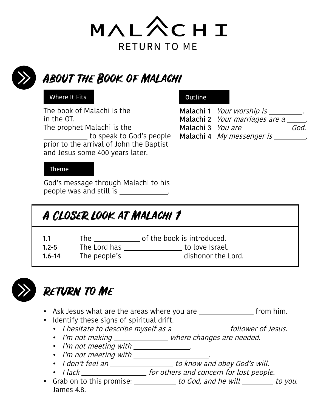



## About the Book of Malachi

#### Where It Fits

The book of Malachi is the in the OT. The prophet Malachi is the

 to speak to God's people prior to the arrival of John the Baptist and Jesus some 400 years later.

### Outline

Malachi 1 Your worship is \_\_\_\_\_\_\_\_. Malachi 2 Your marriages are a \_\_\_\_\_. Malachi 3 You are \_\_\_\_\_\_\_\_\_\_\_\_\_\_\_ God. Malachi 4 My messenger is \_\_\_\_\_\_\_\_.

#### Theme

God's message through Malachi to his people was and still is .

### A Closer Look at Malachi 1

| 1.1    | The          | of the book is introduced. |
|--------|--------------|----------------------------|
| $12-5$ | The Lord has | to love Israel             |

1.2-5 The Lord has \_\_\_\_\_\_\_\_\_\_\_\_\_\_\_\_\_\_\_ to love Israel.<br>1.6-14 The people's \_\_\_\_\_\_\_\_\_\_\_\_\_\_\_\_\_\_\_ dishonor the I The people's \_\_\_\_\_\_\_\_\_\_\_\_\_\_\_\_\_ dishonor the Lord.



# Return to Me

- Ask Jesus what are the areas where you are  $\frac{1}{\sqrt{1-\frac{1}{n}}}$  from him.
- Identify these signs of spiritual drift.
	- I hesitate to describe myself as a \_\_\_\_\_\_\_\_\_\_\_\_\_\_ follower of Jesus.
	- I'm not making \_\_\_\_\_\_\_\_\_\_\_\_\_\_\_ where changes are needed.
	- I'm not meeting with \_\_\_\_\_\_\_\_\_\_\_\_\_\_\_.
	- I'm not meeting with \_\_\_\_\_\_\_\_\_\_\_\_\_\_\_\_\_\_\_.
	- I don't feel an \_\_\_\_\_\_\_\_\_\_\_\_\_\_\_\_\_\_\_ to know and obey God's will.
	- I lack \_\_\_\_\_\_\_\_\_\_\_\_\_\_\_\_\_\_\_\_\_ for others and concern for lost people.
- Grab on to this promise: \_\_\_\_\_\_\_\_\_\_ to God, and he will \_\_\_\_\_\_\_\_ to you. James 4.8.